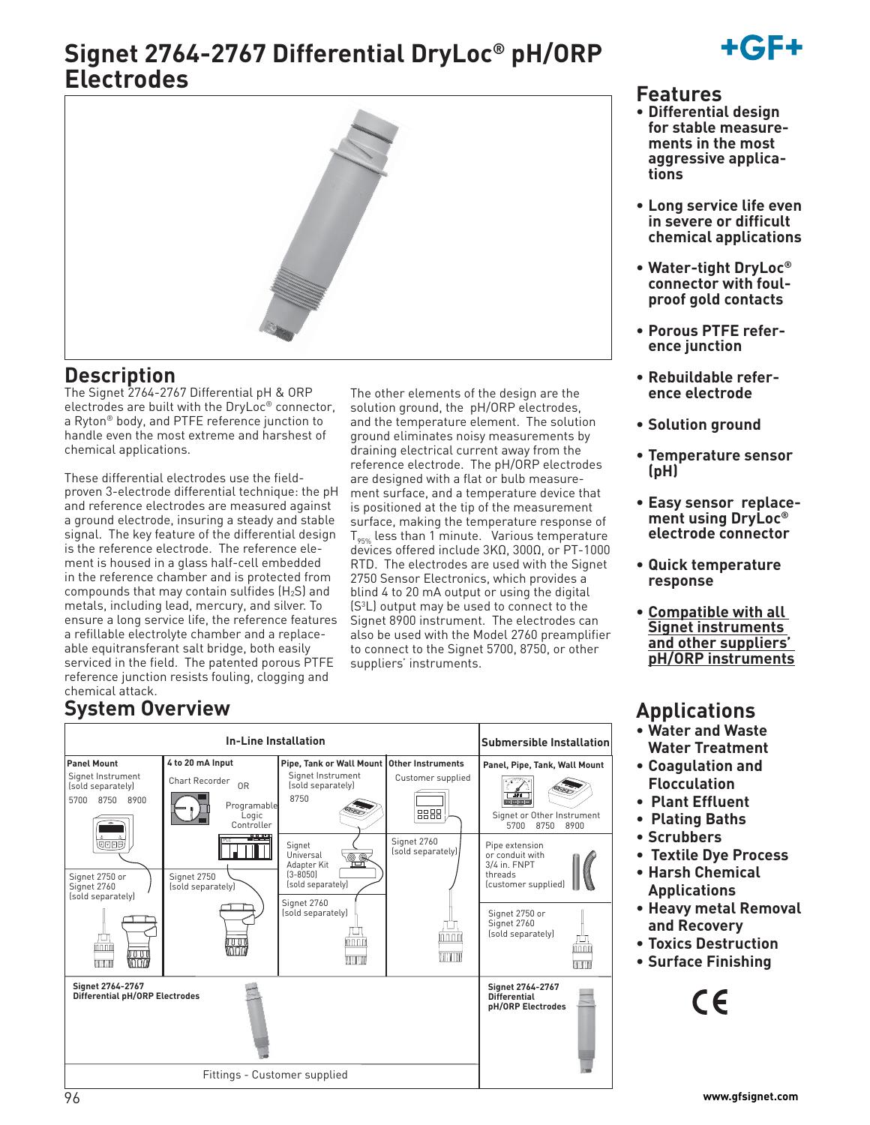# **Signet 2764-2767 Differential DryLoc® pH/ORP Electrodes**



The other elements of the design are the solution ground, the pH/ORP electrodes, and the temperature element. The solution ground eliminates noisy measurements by draining electrical current away from the reference electrode. The pH/ORP electrodes are designed with a flat or bulb measurement surface, and a temperature device that is positioned at the tip of the measurement surface, making the temperature response of  $T_{95\%}$  less than 1 minute. Various temperature devices offered include 3KΩ, 300Ω, or PT-1000 RTD. The electrodes are used with the Signet 2750 Sensor Electronics, which provides a blind 4 to 20 mA output or using the digital (S3 L) output may be used to connect to the Signet 8900 instrument. The electrodes can also be used with the Model 2760 preamplifier to connect to the Signet 5700, 8750, or other

suppliers' instruments.

### **Description**

The Signet 2764-2767 Differential pH & ORP electrodes are built with the DryLoc® connector, a Ryton® body, and PTFE reference junction to handle even the most extreme and harshest of chemical applications.

These differential electrodes use the fieldproven 3-electrode differential technique: the pH and reference electrodes are measured against a ground electrode, insuring a steady and stable signal. The key feature of the differential design is the reference electrode. The reference element is housed in a glass half-cell embedded in the reference chamber and is protected from compounds that may contain sulfides (H2S) and metals, including lead, mercury, and silver. To ensure a long service life, the reference features a refillable electrolyte chamber and a replaceable equitransferant salt bridge, both easily serviced in the field. The patented porous PTFE reference junction resists fouling, clogging and chemical attack.

## **System Overview**

|                                                                                                                                                     |                                                                                                                                        |                                                                                                                                                                                |                                                               |                                                                                                                                                                                             | • Water and Waste                                                                                                                                                                    |
|-----------------------------------------------------------------------------------------------------------------------------------------------------|----------------------------------------------------------------------------------------------------------------------------------------|--------------------------------------------------------------------------------------------------------------------------------------------------------------------------------|---------------------------------------------------------------|---------------------------------------------------------------------------------------------------------------------------------------------------------------------------------------------|--------------------------------------------------------------------------------------------------------------------------------------------------------------------------------------|
|                                                                                                                                                     |                                                                                                                                        | <b>In-Line Installation</b>                                                                                                                                                    |                                                               | <b>Submersible Installation</b>                                                                                                                                                             | <b>Water Treatment</b>                                                                                                                                                               |
| <b>Panel Mount</b><br>Signet Instrument<br>(sold separately)<br>5700 8750 8900<br><b>@DBP</b><br>Signet 2750 or<br>Signet 2760<br>(sold separately) | 4 to 20 mA Input<br>Chart Recorder<br>0 <sub>R</sub><br>Programable<br>Logic<br>Controller<br>2555<br>Signet 2750<br>(sold separately) | Pipe, Tank or Wall Mount   Other Instruments<br>Signet Instrument<br>(sold separately)<br>8750<br>Signet<br>Universal<br>t<br>Adapter Kit<br>$(3 - 8050)$<br>(sold separately) | Customer supplied<br>8888<br>Signet 2760<br>(sold separately) | Panel, Pipe, Tank, Wall Mount<br>िक्षय<br>ococ<br>Signet or Other Instrument<br>5700<br>8750<br>8900<br>Pipe extension<br>or conduit with<br>3/4 in. FNPT<br>threads<br>(customer supplied) | • Coagulation and<br><b>Flocculation</b><br><b>Plant Effluent</b><br>$\bullet$<br>• Plating Baths<br>• Scrubbers<br>• Textile Dye Process<br>• Harsh Chemical<br><b>Applications</b> |
| innni<br>inani<br>Madi                                                                                                                              | woon                                                                                                                                   | Signet 2760<br>(sold separately)<br>innnii<br><b>TITTII</b>                                                                                                                    | innnm<br>WWW                                                  | Signet 2750 or<br>Signet 2760<br>(sold separately)<br>畾<br>TITTITTI                                                                                                                         | • Heavy metal Removal<br>and Recovery<br>• Toxics Destruction<br>• Surface Finishing                                                                                                 |
| Signet 2764-2767<br><b>Differential pH/ORP Electrodes</b>                                                                                           |                                                                                                                                        |                                                                                                                                                                                | Signet 2764-2767<br><b>Differential</b><br>pH/ORP Electrodes  | CE                                                                                                                                                                                          |                                                                                                                                                                                      |
|                                                                                                                                                     |                                                                                                                                        | Fittings - Customer supplied                                                                                                                                                   |                                                               |                                                                                                                                                                                             |                                                                                                                                                                                      |
| 96                                                                                                                                                  |                                                                                                                                        |                                                                                                                                                                                |                                                               |                                                                                                                                                                                             | www.gfsignet.com                                                                                                                                                                     |



### **Features**

- **Differential design for stable measurements in the most aggressive applications**
- **Long service life even in severe or difficult chemical applications**
- **Water-tight DryLoc® connector with foulproof gold contacts**
- **Porous PTFE reference junction**
- **Rebuildable reference electrode**
- **Solution ground**
- **Temperature sensor (pH)**
- **Easy sensor replacement using DryLoc® electrode connector**
- **Quick temperature response**
- **Compatible with all Signet instruments and other suppliers' pH/ORP instruments**

## **Applications**

- **Water and Waste Water Treatment**
- **Coagulation and Flocculation**
- **Plant Effluent**
- **Plating Baths**
- **Scrubbers**
- **Textile Dye Process**
- **Harsh Chemical Applications**
- **Heavy metal Removal and Recovery**
- **Toxics Destruction**
- **Surface Finishing**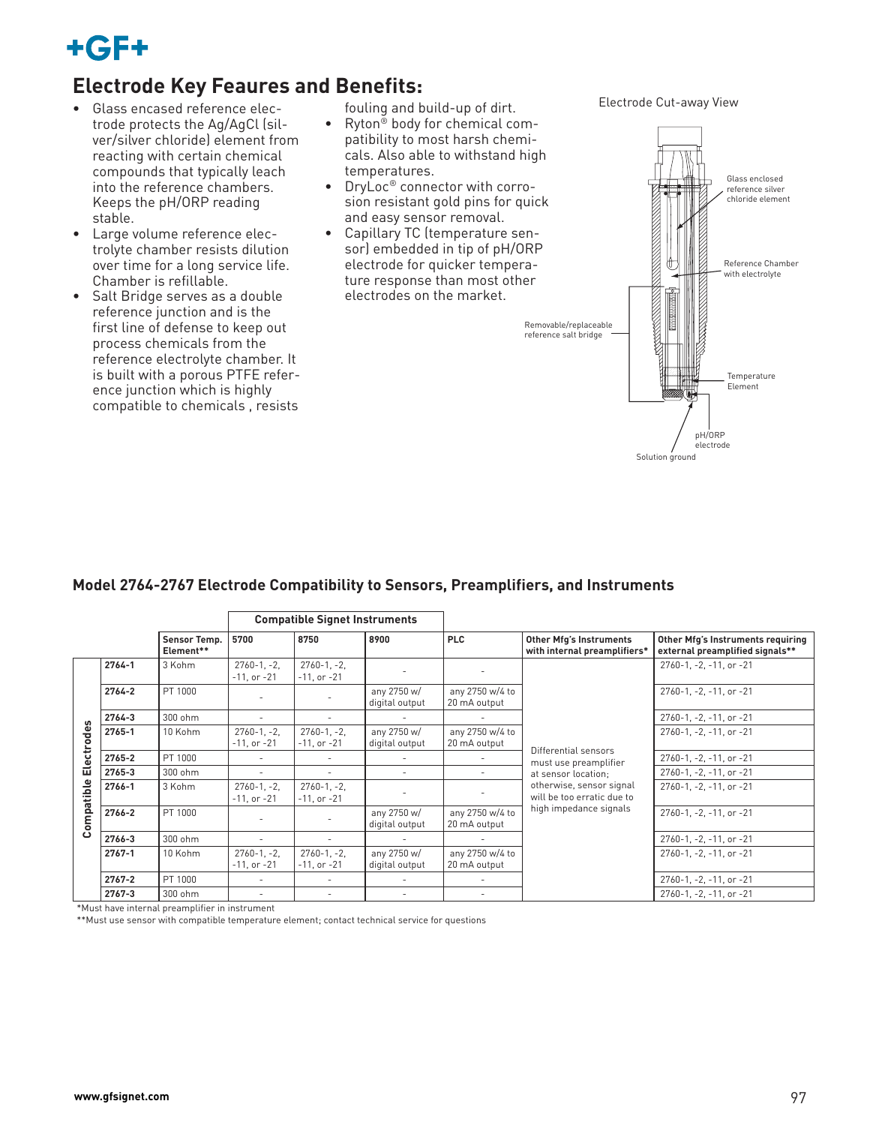

### **Electrode Key Feaures and Benefits:**

- Glass encased reference electrode protects the Ag/AgCl (silver/silver chloride) element from reacting with certain chemical compounds that typically leach into the reference chambers. Keeps the pH/ORP reading stable.
- Large volume reference electrolyte chamber resists dilution over time for a long service life. Chamber is refillable.
- Salt Bridge serves as a double reference junction and is the first line of defense to keep out process chemicals from the reference electrolyte chamber. It is built with a porous PTFE reference junction which is highly compatible to chemicals , resists

fouling and build-up of dirt.

- Ryton<sup>®</sup> body for chemical compatibility to most harsh chemicals. Also able to withstand high temperatures.
- DryLoc® connector with corrosion resistant gold pins for quick and easy sensor removal.
- Capillary TC (temperature sensor) embedded in tip of pH/ORP electrode for quicker temperature response than most other electrodes on the market.

Electrode Cut-away View



#### **Model 2764-2767 Electrode Compatibility to Sensors, Preamplifiers, and Instruments**

|                          |            | <b>Compatible Signet Instruments</b> |                                     |                                     |                               |                                 |                                                                |                                                                      |
|--------------------------|------------|--------------------------------------|-------------------------------------|-------------------------------------|-------------------------------|---------------------------------|----------------------------------------------------------------|----------------------------------------------------------------------|
|                          |            | Sensor Temp.<br>Element**            | 5700                                | 8750                                | 8900                          | <b>PLC</b>                      | <b>Other Mfg's Instruments</b><br>with internal preamplifiers* | Other Mfg's Instruments requiring<br>external preamplified signals** |
|                          | $2764 - 1$ | 3 Kohm                               | $2760 - 1, -2$<br>$-11$ , or $-21$  | $2760 - 1, -2$<br>$-11$ , or $-21$  |                               |                                 |                                                                | 2760-1, -2, -11, or -21                                              |
|                          | $2764 - 2$ | PT 1000                              |                                     |                                     | any 2750 w/<br>digital output | any 2750 w/4 to<br>20 mA output |                                                                | 2760-1, -2, -11, or -21                                              |
|                          | 2764-3     | 300 ohm                              |                                     |                                     |                               |                                 |                                                                | 2760-1, -2, -11, or -21                                              |
| Electrodes<br>Compatible | 2765-1     | 10 Kohm                              | $2760 - 1, -2$<br>$-11$ , or $-21$  | $2760 - 1, -2,$<br>$-11$ , or $-21$ | any 2750 w/<br>digital output | any 2750 w/4 to<br>20 mA output | Differential sensors                                           | 2760-1, -2, -11, or -21                                              |
|                          | 2765-2     | PT 1000                              |                                     |                                     |                               |                                 | must use preamplifier                                          | 2760-1, -2, -11, or -21                                              |
|                          | 2765-3     | 300 ohm                              | ٠                                   |                                     | ٠                             |                                 | at sensor location;                                            | $2760 - 1$ , $-2$ , $-11$ , or $-21$                                 |
|                          | 2766-1     | 3 Kohm                               | $2760 - 1, -2$<br>$-11$ , or $-21$  | $2760-1, -2,$<br>$-11$ , or $-21$   |                               |                                 | otherwise, sensor signal<br>will be too erratic due to         | 2760-1, -2, -11, or -21                                              |
|                          | 2766-2     | PT 1000                              |                                     |                                     | any 2750 w/<br>digital output | any 2750 w/4 to<br>20 mA output | high impedance signals                                         | 2760-1, -2, -11, or -21                                              |
|                          | 2766-3     | 300 ohm                              | $\sim$                              |                                     |                               |                                 |                                                                | 2760-1, -2, -11, or -21                                              |
|                          | $2767 - 1$ | 10 Kohm                              | $2760 - 1, -2,$<br>$-11$ , or $-21$ | $2760 - 1, -2,$<br>$-11$ , or $-21$ | any 2750 w/<br>digital output | any 2750 w/4 to<br>20 mA output |                                                                | 2760-1, -2, -11, or -21                                              |
|                          | $2767 - 2$ | PT 1000                              | ÷.                                  |                                     |                               |                                 |                                                                | 2760-1, -2, -11, or -21                                              |
|                          | 2767-3     | 300 ohm                              | ۰                                   |                                     |                               |                                 |                                                                | 2760-1, -2, -11, or -21                                              |

\*Must have internal preamplifier in instrument

\*\*Must use sensor with compatible temperature element; contact technical service for questions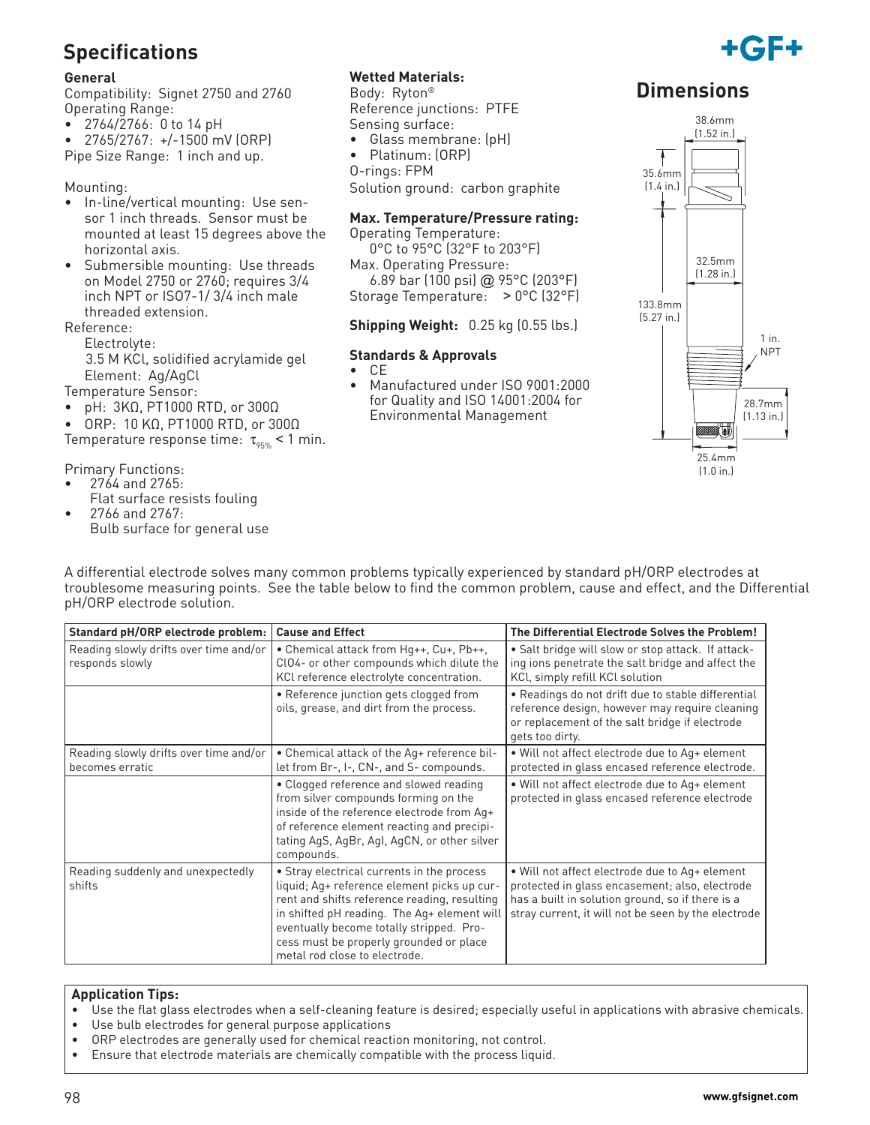## **Specifications**

#### **General**

Compatibility: Signet 2750 and 2760 Operating Range:

• 2764/2766: 0 to 14 pH

• 2765/2767: +/-1500 mV (ORP)

Pipe Size Range: 1 inch and up.

#### Mounting:

- In-line/vertical mounting: Use sensor 1 inch threads. Sensor must be mounted at least 15 degrees above the horizontal axis.
- Submersible mounting: Use threads on Model 2750 or 2760; requires 3/4 inch NPT or ISO7-1/ 3/4 inch male threaded extension.

Reference:

Electrolyte:

 3.5 M KCl, solidified acrylamide gel Element: Ag/AgCl

Temperature Sensor:

• pH: 3KΩ, PT1000 RTD, or 300Ω

• ORP: 10 KΩ, PT1000 RTD, or 300Ω Temperature response time:  $\tau_{\text{gas}}$  < 1 min.

Primary Functions:

- 2764 and 2765: Flat surface resists fouling
- 2766 and 2767: Bulb surface for general use

#### **Wetted Materials:**

Body: Ryton® Reference junctions: PTFE Sensing surface:

- Glass membrane: (pH)
- Platinum: (ORP)
- O-rings: FPM

Solution ground: carbon graphite

#### **Max. Temperature/Pressure rating:**

Operating Temperature: 0°C to 95°C (32°F to 203°F)

Max. Operating Pressure:

 6.89 bar (100 psi) @ 95°C (203°F) Storage Temperature: > 0°C (32°F)

#### **Shipping Weight:** 0.25 kg (0.55 lbs.)

#### **Standards & Approvals**

- CE
- Manufactured under ISO 9001:2000 for Quality and ISO 14001:2004 for Environmental Management

### **Dimensions**

+161 FH



A differential electrode solves many common problems typically experienced by standard pH/ORP electrodes at troublesome measuring points. See the table below to find the common problem, cause and effect, and the Differential pH/ORP electrode solution.

| Standard pH/ORP electrode problem:                        | <b>Cause and Effect</b>                                                                                                                                                                                                                                                                                          | The Differential Electrode Solves the Problem!                                                                                                                                                              |
|-----------------------------------------------------------|------------------------------------------------------------------------------------------------------------------------------------------------------------------------------------------------------------------------------------------------------------------------------------------------------------------|-------------------------------------------------------------------------------------------------------------------------------------------------------------------------------------------------------------|
| Reading slowly drifts over time and/or<br>responds slowly | • Chemical attack from Hq++, Cu+, Pb++,<br>ClO4- or other compounds which dilute the<br>KCl reference electrolyte concentration.                                                                                                                                                                                 | • Salt bridge will slow or stop attack. If attack-<br>ing ions penetrate the salt bridge and affect the<br>KCI, simply refill KCI solution                                                                  |
|                                                           | • Reference junction gets clogged from<br>oils, grease, and dirt from the process.                                                                                                                                                                                                                               | • Readings do not drift due to stable differential<br>reference design, however may require cleaning<br>or replacement of the salt bridge if electrode<br>gets too dirty.                                   |
| Reading slowly drifts over time and/or<br>becomes erratic | • Chemical attack of the Aq+ reference bil-<br>let from Br-, I-, CN-, and S- compounds.                                                                                                                                                                                                                          | . Will not affect electrode due to Aq+ element<br>protected in glass encased reference electrode.                                                                                                           |
|                                                           | • Clogged reference and slowed reading<br>from silver compounds forming on the<br>inside of the reference electrode from Aq+<br>of reference element reacting and precipi-<br>tating AgS, AgBr, AgI, AgCN, or other silver<br>compounds.                                                                         | • Will not affect electrode due to Aq+ element<br>protected in glass encased reference electrode                                                                                                            |
| Reading suddenly and unexpectedly<br>shifts               | • Stray electrical currents in the process<br>liquid; Aq+ reference element picks up cur-<br>rent and shifts reference reading, resulting<br>in shifted pH reading. The Aq+ element will<br>eventually become totally stripped. Pro-<br>cess must be properly grounded or place<br>metal rod close to electrode. | . Will not affect electrode due to Aq+ element<br>protected in glass encasement; also, electrode<br>has a built in solution ground, so if there is a<br>stray current, it will not be seen by the electrode |

#### **Application Tips:**

- Use the flat glass electrodes when a self-cleaning feature is desired; especially useful in applications with abrasive chemicals.
- Use bulb electrodes for general purpose applications
- ORP electrodes are generally used for chemical reaction monitoring, not control.
- Ensure that electrode materials are chemically compatible with the process liquid.